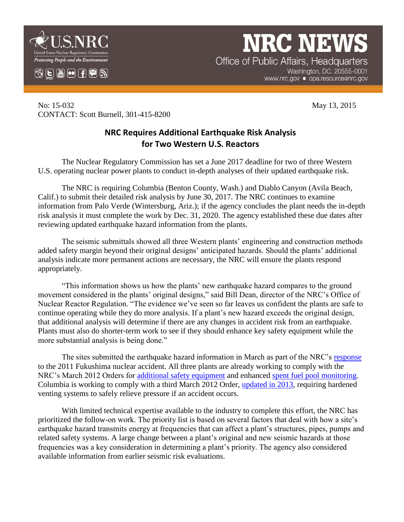

 $\mathbb{C}$   $\mathbb{H}$   $\mathbb{H}$   $\mathbb{H}$   $\mathbb{C}$   $\mathbb{R}$   $\mathbb{N}$ 

## **NRC NEW**

Office of Public Affairs, Headquarters Washington, DC. 20555-0001 www.nrc.gov ■ opa.resource@nrc.gov

No: 15-032 May 13, 2015 CONTACT: Scott Burnell, 301-415-8200

## **NRC Requires Additional Earthquake Risk Analysis for Two Western U.S. Reactors**

The Nuclear Regulatory Commission has set a June 2017 deadline for two of three Western U.S. operating nuclear power plants to conduct in-depth analyses of their updated earthquake risk.

The NRC is requiring Columbia (Benton County, Wash.) and Diablo Canyon (Avila Beach, Calif.) to submit their detailed risk analysis by June 30, 2017. The NRC continues to examine information from Palo Verde (Wintersburg, Ariz.); if the agency concludes the plant needs the in-depth risk analysis it must complete the work by Dec. 31, 2020. The agency established these due dates after reviewing updated earthquake hazard information from the plants.

The seismic submittals showed all three Western plants' engineering and construction methods added safety margin beyond their original designs' anticipated hazards. Should the plants' additional analysis indicate more permanent actions are necessary, the NRC will ensure the plants respond appropriately.

"This information shows us how the plants' new earthquake hazard compares to the ground movement considered in the plants' original designs," said Bill Dean, director of the NRC's Office of Nuclear Reactor Regulation. "The evidence we've seen so far leaves us confident the plants are safe to continue operating while they do more analysis. If a plant's new hazard exceeds the original design, that additional analysis will determine if there are any changes in accident risk from an earthquake. Plants must also do shorter-term work to see if they should enhance key safety equipment while the more substantial analysis is being done."

The sites submitted the earthquake hazard information in March as part of the NRC's [response](http://www.nrc.gov/reactors/operating/ops-experience/japan-dashboard/seismic-reevaluations.html) to the 2011 Fukushima nuclear accident. All three plants are already working to comply with the NRC's March 2012 Orders for [additional safety equipment](http://www.nrc.gov/reactors/operating/ops-experience/japan-dashboard/mitigation-strategies.html) and enhanced [spent fuel pool monitoring.](http://www.nrc.gov/reactors/operating/ops-experience/japan-dashboard/spent-fuel.html) Columbia is working to comply with a third March 2012 Order, [updated in 2013,](http://www.nrc.gov/reactors/operating/ops-experience/japan-dashboard/hardened-vents.html) requiring hardened venting systems to safely relieve pressure if an accident occurs.

With limited technical expertise available to the industry to complete this effort, the NRC has prioritized the follow-on work. The priority list is based on several factors that deal with how a site's earthquake hazard transmits energy at frequencies that can affect a plant's structures, pipes, pumps and related safety systems. A large change between a plant's original and new seismic hazards at those frequencies was a key consideration in determining a plant's priority. The agency also considered available information from earlier seismic risk evaluations.